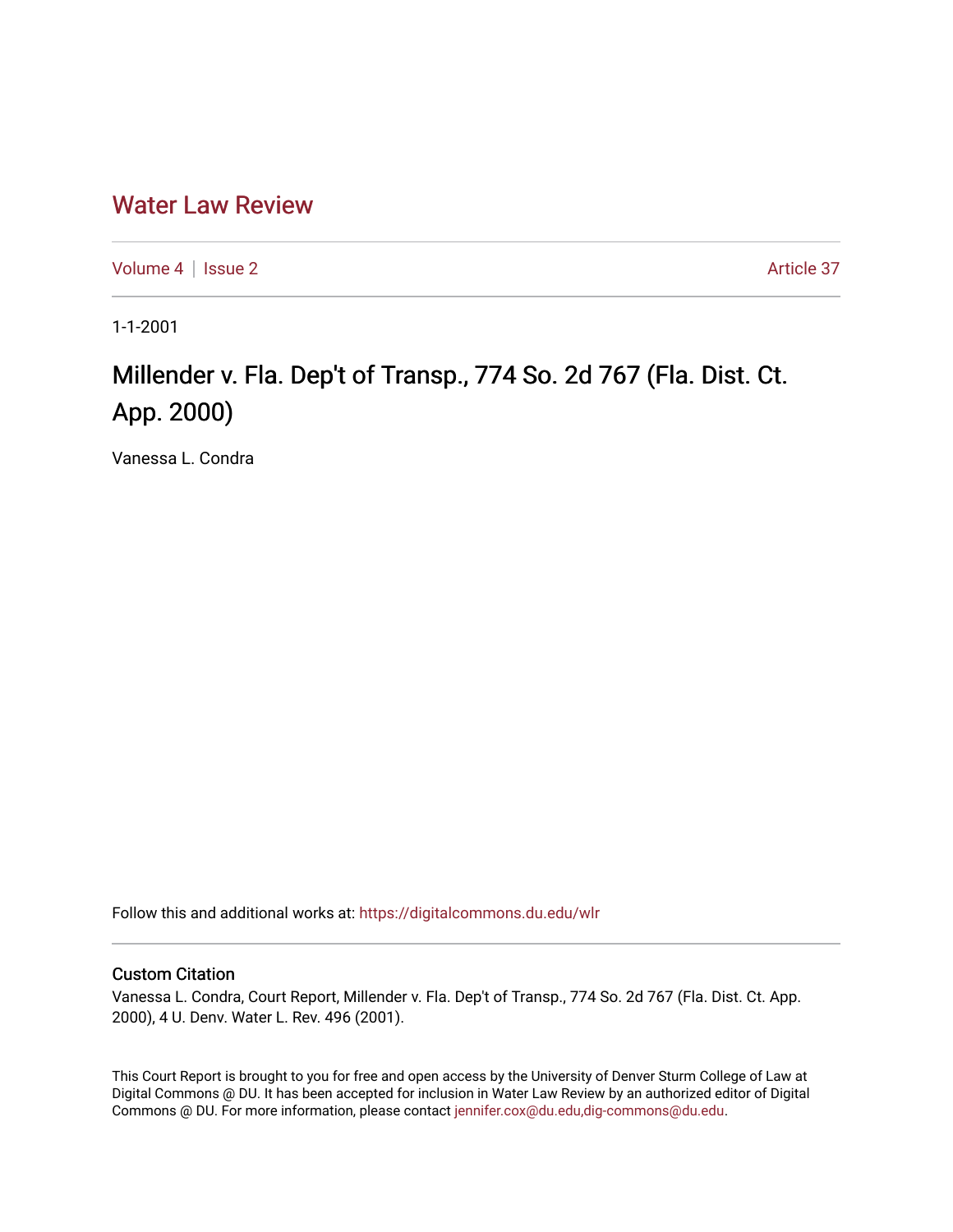## [Water Law Review](https://digitalcommons.du.edu/wlr)

[Volume 4](https://digitalcommons.du.edu/wlr/vol4) | [Issue 2](https://digitalcommons.du.edu/wlr/vol4/iss2) Article 37

1-1-2001

## Millender v. Fla. Dep't of Transp., 774 So. 2d 767 (Fla. Dist. Ct. App. 2000)

Vanessa L. Condra

Follow this and additional works at: [https://digitalcommons.du.edu/wlr](https://digitalcommons.du.edu/wlr?utm_source=digitalcommons.du.edu%2Fwlr%2Fvol4%2Fiss2%2F37&utm_medium=PDF&utm_campaign=PDFCoverPages) 

## Custom Citation

Vanessa L. Condra, Court Report, Millender v. Fla. Dep't of Transp., 774 So. 2d 767 (Fla. Dist. Ct. App. 2000), 4 U. Denv. Water L. Rev. 496 (2001).

This Court Report is brought to you for free and open access by the University of Denver Sturm College of Law at Digital Commons @ DU. It has been accepted for inclusion in Water Law Review by an authorized editor of Digital Commons @ DU. For more information, please contact [jennifer.cox@du.edu,dig-commons@du.edu.](mailto:jennifer.cox@du.edu,dig-commons@du.edu)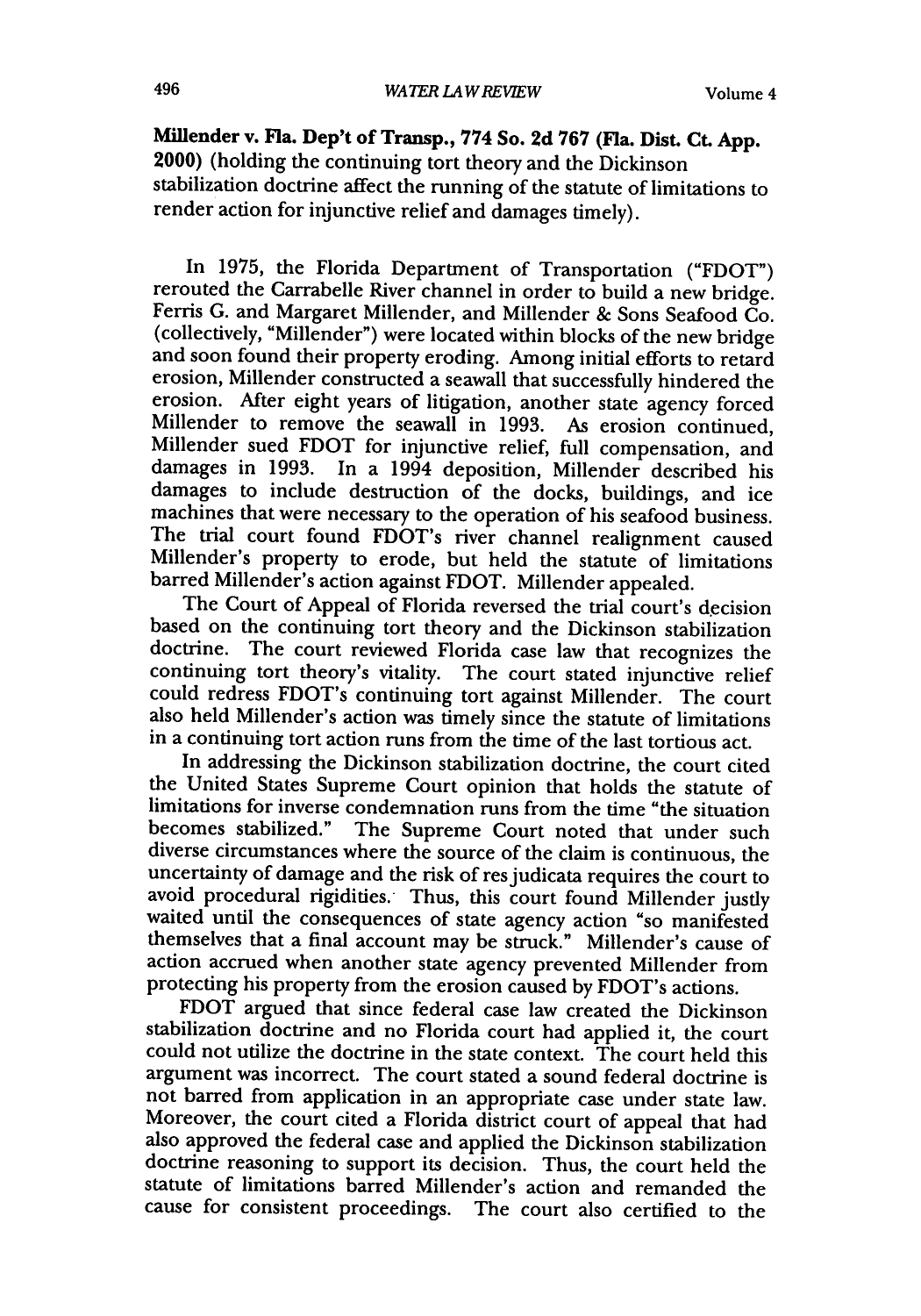**Millender** v. Fla. Dep't of Transp., **774** So. **2d 767** (Fla. Dist. **Ct. App.** 2000) (holding the continuing tort theory and the Dickinson stabilization doctrine affect the running of the statute of limitations to render action for injunctive relief and damages timely).

In 1975, the Florida Department of Transportation ("FDOT") rerouted the Carrabelle River channel in order to build a new bridge. Ferris G. and Margaret Millender, and Millender & Sons Seafood Co. (collectively, "Millender") were located within blocks of the new bridge and soon found their property eroding. Among initial efforts to retard erosion, Millender constructed a seawall that successfully hindered the erosion. After eight years of litigation, another state agency forced Millender to remove the seawall in **1993.** As erosion continued, Millender sued FDOT for injunctive relief, full compensation, and damages in **1993.** In a 1994 deposition, Millender described his damages to include destruction of the docks, buildings, and ice machines that were necessary to the operation of his seafood business. The trial court found FDOT's river channel realignment caused Millender's property to erode, but held the statute of limitations barred Millender's action against FDOT. Millender appealed.

The Court of Appeal of Florida reversed the trial court's decision based on the continuing tort theory and the Dickinson stabilization doctrine. The court reviewed Florida case law that recognizes the continuing tort theory's vitality. The court stated injunctive relief could redress FDOT's continuing tort against Millender. The court also held Millender's action was timely since the statute of limitations in a continuing tort action runs from the time of the last tortious act.

In addressing the Dickinson stabilization doctrine, the court cited the United States Supreme Court opinion that holds the statute of limitations for inverse condemnation runs from the time "the situation becomes stabilized." The Supreme Court noted that under such diverse circumstances where the source of the claim is continuous, the uncertainty of damage and the risk of res judicata requires the court to avoid procedural rigidities. Thus, this court found Millender justly avoid procedural rigidities. Thus, this court found Millender justly waited until the consequences of state agency action "so manifested themselves that a final account may be struck." Millender's cause of action accrued when another state agency prevented Millender from protecting his property from the erosion caused **by** FDOT's actions.

FDOT argued that since federal case law created the Dickinson stabilization doctrine and no Florida court had applied it, the court could not utilize the doctrine in the state context. The court held this argument was incorrect. The court stated a sound federal doctrine is not barred from application in an appropriate case under state law. Moreover, the court cited a Florida district court of appeal that had also approved the federal case and applied the Dickinson stabilization doctrine reasoning to support its decision. Thus, the court held the statute of limitations barred Millender's action and remanded the cause for consistent proceedings. The court also certified to the